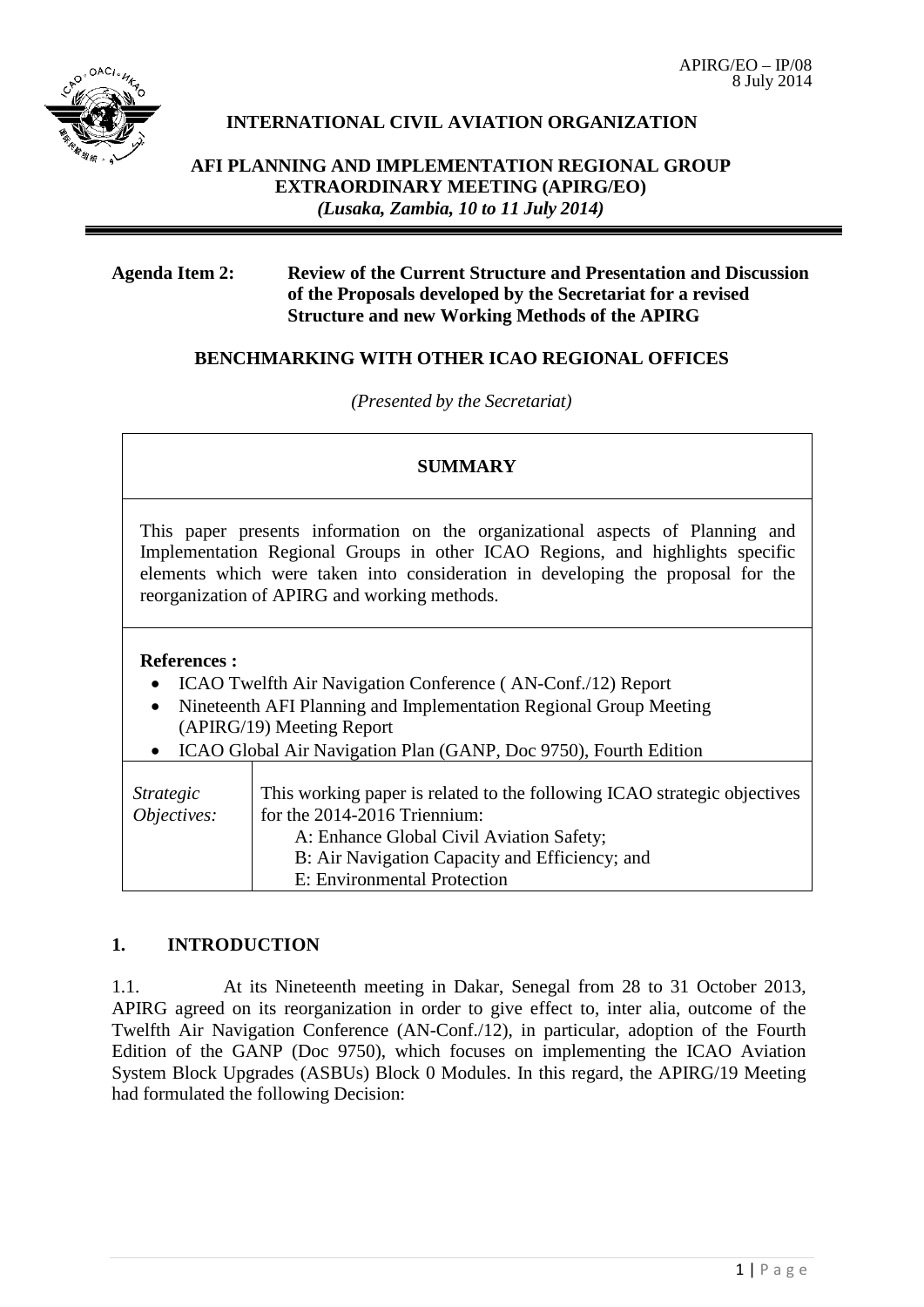

## **INTERNATIONAL CIVIL AVIATION ORGANIZATION**

## **AFI PLANNING AND IMPLEMENTATION REGIONAL GROUP EXTRAORDINARY MEETING (APIRG/EO)** *(Lusaka, Zambia, 10 to 11 July 2014)*

### **Agenda Item 2: Review of the Current Structure and Presentation and Discussion of the Proposals developed by the Secretariat for a revised Structure and new Working Methods of the APIRG**

## **BENCHMARKING WITH OTHER ICAO REGIONAL OFFICES**

*(Presented by the Secretariat)*

## **SUMMARY**

This paper presents information on the organizational aspects of Planning and Implementation Regional Groups in other ICAO Regions, and highlights specific elements which were taken into consideration in developing the proposal for the reorganization of APIRG and working methods.

## **References :**

- ICAO Twelfth Air Navigation Conference (AN-Conf./12) Report
- Nineteenth AFI Planning and Implementation Regional Group Meeting (APIRG/19) Meeting Report
- ICAO Global Air Navigation Plan (GANP, Doc 9750), Fourth Edition

| Strategic<br>Objectives: | This working paper is related to the following ICAO strategic objectives<br>for the 2014-2016 Triennium:<br>A: Enhance Global Civil Aviation Safety; |
|--------------------------|------------------------------------------------------------------------------------------------------------------------------------------------------|
|                          | B: Air Navigation Capacity and Efficiency; and<br>E: Environmental Protection                                                                        |

## **1. INTRODUCTION**

1.1. At its Nineteenth meeting in Dakar, Senegal from 28 to 31 October 2013, APIRG agreed on its reorganization in order to give effect to, inter alia, outcome of the Twelfth Air Navigation Conference (AN-Conf./12), in particular, adoption of the Fourth Edition of the GANP (Doc 9750), which focuses on implementing the ICAO Aviation System Block Upgrades (ASBUs) Block 0 Modules. In this regard, the APIRG/19 Meeting had formulated the following Decision: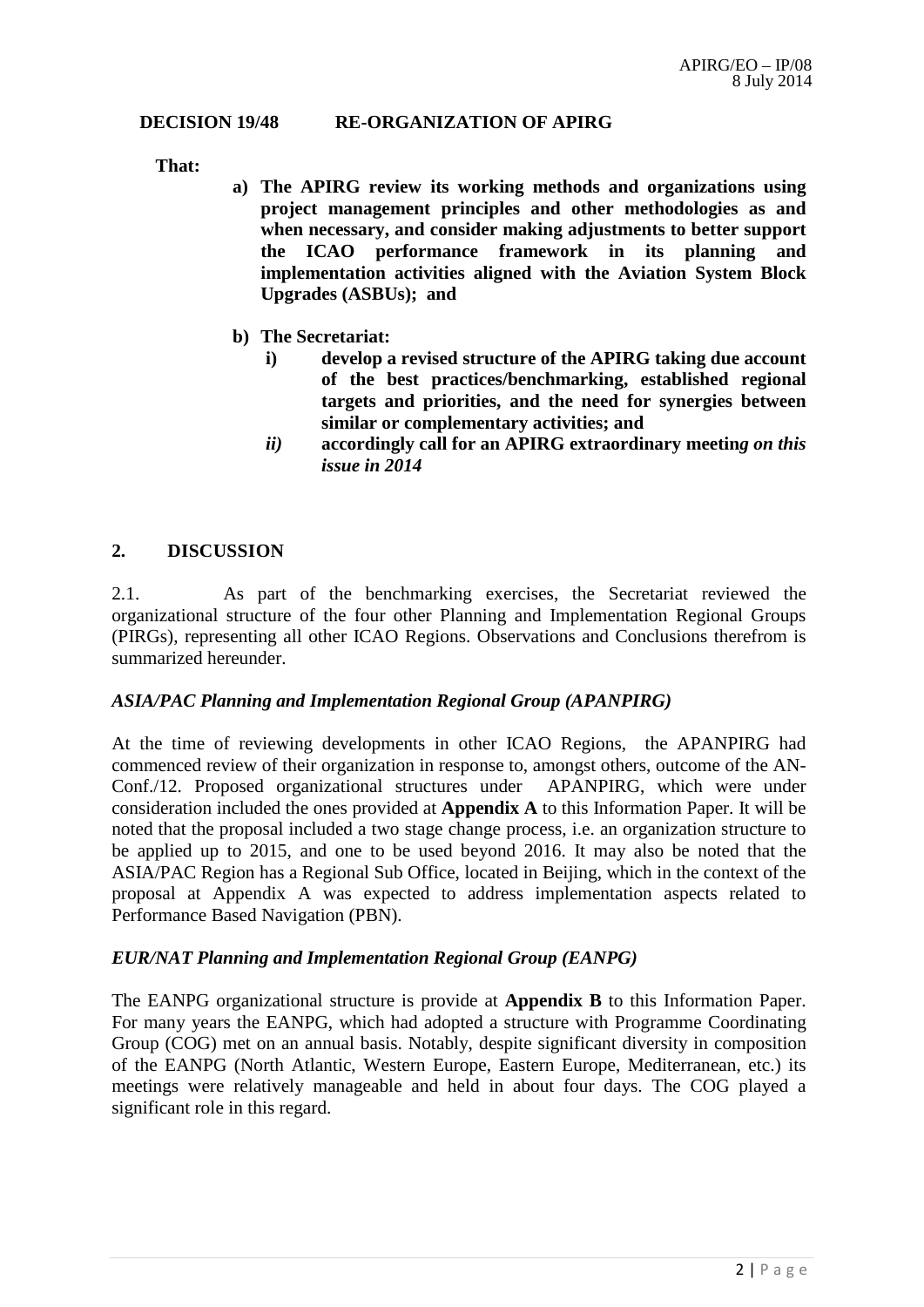#### **DECISION 19/48 RE-ORGANIZATION OF APIRG**

**That:**

- **a) The APIRG review its working methods and organizations using project management principles and other methodologies as and when necessary, and consider making adjustments to better support the ICAO performance framework in its planning and implementation activities aligned with the Aviation System Block Upgrades (ASBUs); and**
- **b) The Secretariat:**
	- **i) develop a revised structure of the APIRG taking due account of the best practices/benchmarking, established regional targets and priorities, and the need for synergies between similar or complementary activities; and**
	- *ii)* **accordingly call for an APIRG extraordinary meetin***g on this issue in 2014*

### **2. DISCUSSION**

2.1. As part of the benchmarking exercises, the Secretariat reviewed the organizational structure of the four other Planning and Implementation Regional Groups (PIRGs), representing all other ICAO Regions. Observations and Conclusions therefrom is summarized hereunder.

### *ASIA/PAC Planning and Implementation Regional Group (APANPIRG)*

At the time of reviewing developments in other ICAO Regions, the APANPIRG had commenced review of their organization in response to, amongst others, outcome of the AN-Conf./12. Proposed organizational structures under APANPIRG, which were under consideration included the ones provided at **Appendix A** to this Information Paper. It will be noted that the proposal included a two stage change process, i.e. an organization structure to be applied up to 2015, and one to be used beyond 2016. It may also be noted that the ASIA/PAC Region has a Regional Sub Office, located in Beijing, which in the context of the proposal at Appendix A was expected to address implementation aspects related to Performance Based Navigation (PBN).

### *EUR/NAT Planning and Implementation Regional Group (EANPG)*

The EANPG organizational structure is provide at **Appendix B** to this Information Paper. For many years the EANPG, which had adopted a structure with Programme Coordinating Group (COG) met on an annual basis. Notably, despite significant diversity in composition of the EANPG (North Atlantic, Western Europe, Eastern Europe, Mediterranean, etc.) its meetings were relatively manageable and held in about four days. The COG played a significant role in this regard.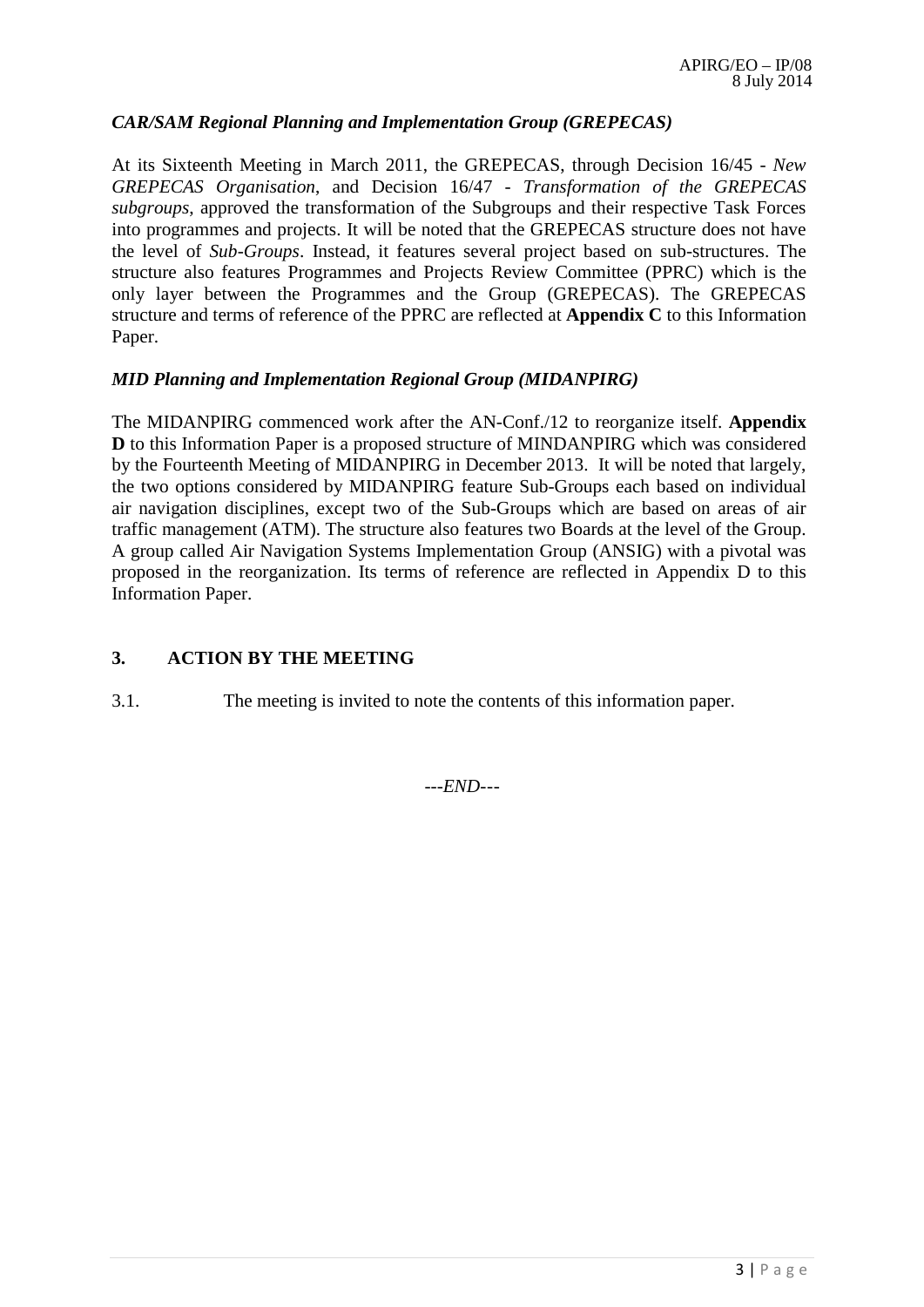## *CAR/SAM Regional Planning and Implementation Group (GREPECAS)*

At its Sixteenth Meeting in March 2011, the GREPECAS, through Decision 16/45 - *New GREPECAS Organisation*, and Decision 16/47 - *Transformation of the GREPECAS subgroups*, approved the transformation of the Subgroups and their respective Task Forces into programmes and projects. It will be noted that the GREPECAS structure does not have the level of *Sub-Groups*. Instead, it features several project based on sub-structures. The structure also features Programmes and Projects Review Committee (PPRC) which is the only layer between the Programmes and the Group (GREPECAS). The GREPECAS structure and terms of reference of the PPRC are reflected at **Appendix C** to this Information Paper.

### *MID Planning and Implementation Regional Group (MIDANPIRG)*

The MIDANPIRG commenced work after the AN-Conf./12 to reorganize itself. **Appendix D** to this Information Paper is a proposed structure of MINDANPIRG which was considered by the Fourteenth Meeting of MIDANPIRG in December 2013. It will be noted that largely, the two options considered by MIDANPIRG feature Sub-Groups each based on individual air navigation disciplines, except two of the Sub-Groups which are based on areas of air traffic management (ATM). The structure also features two Boards at the level of the Group. A group called Air Navigation Systems Implementation Group (ANSIG) with a pivotal was proposed in the reorganization. Its terms of reference are reflected in Appendix D to this Information Paper.

### **3. ACTION BY THE MEETING**

3.1. The meeting is invited to note the contents of this information paper.

*---END---*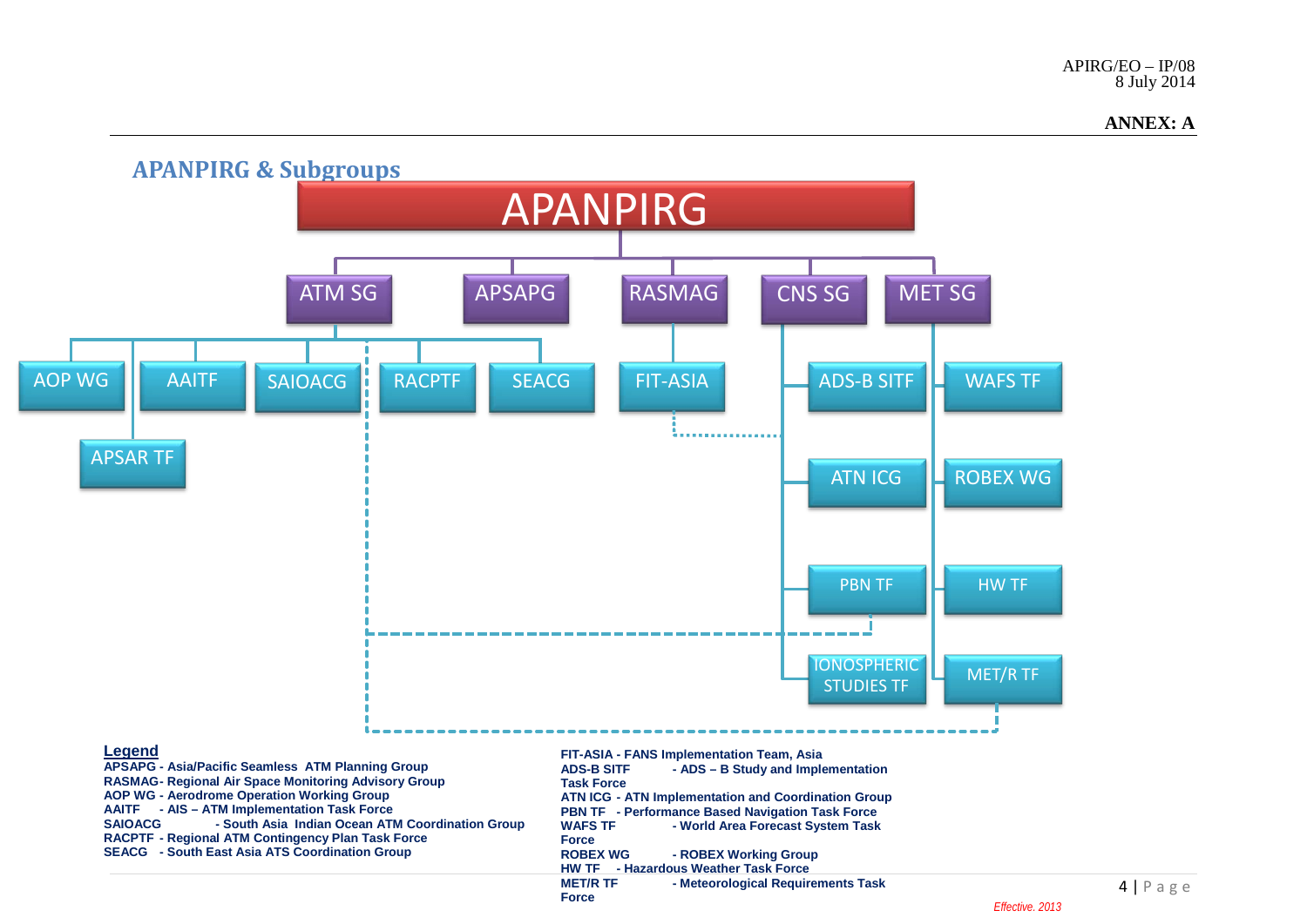#### **ANNEX: A**

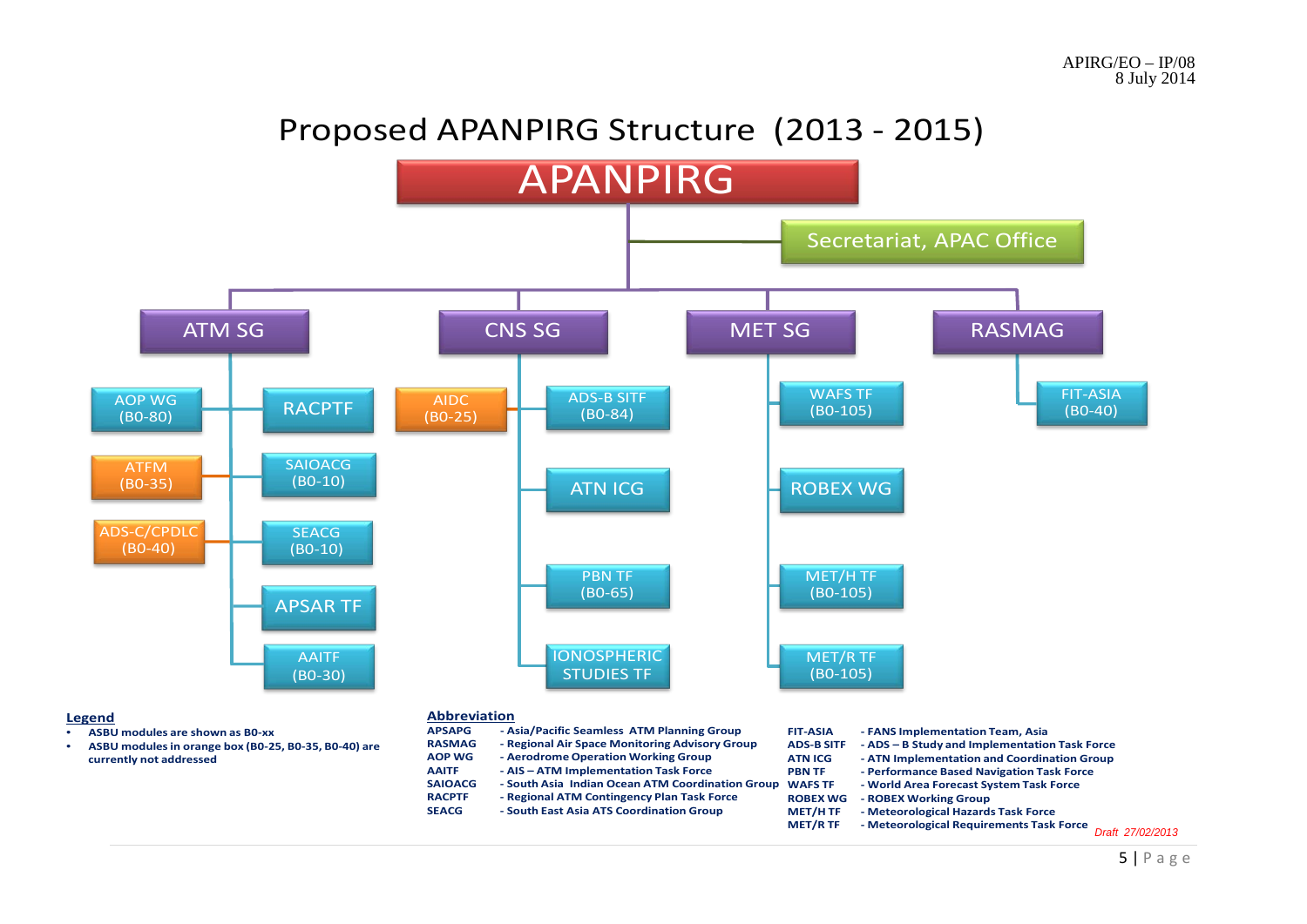# Proposed APANPIRG Structure (2013 - 2015)

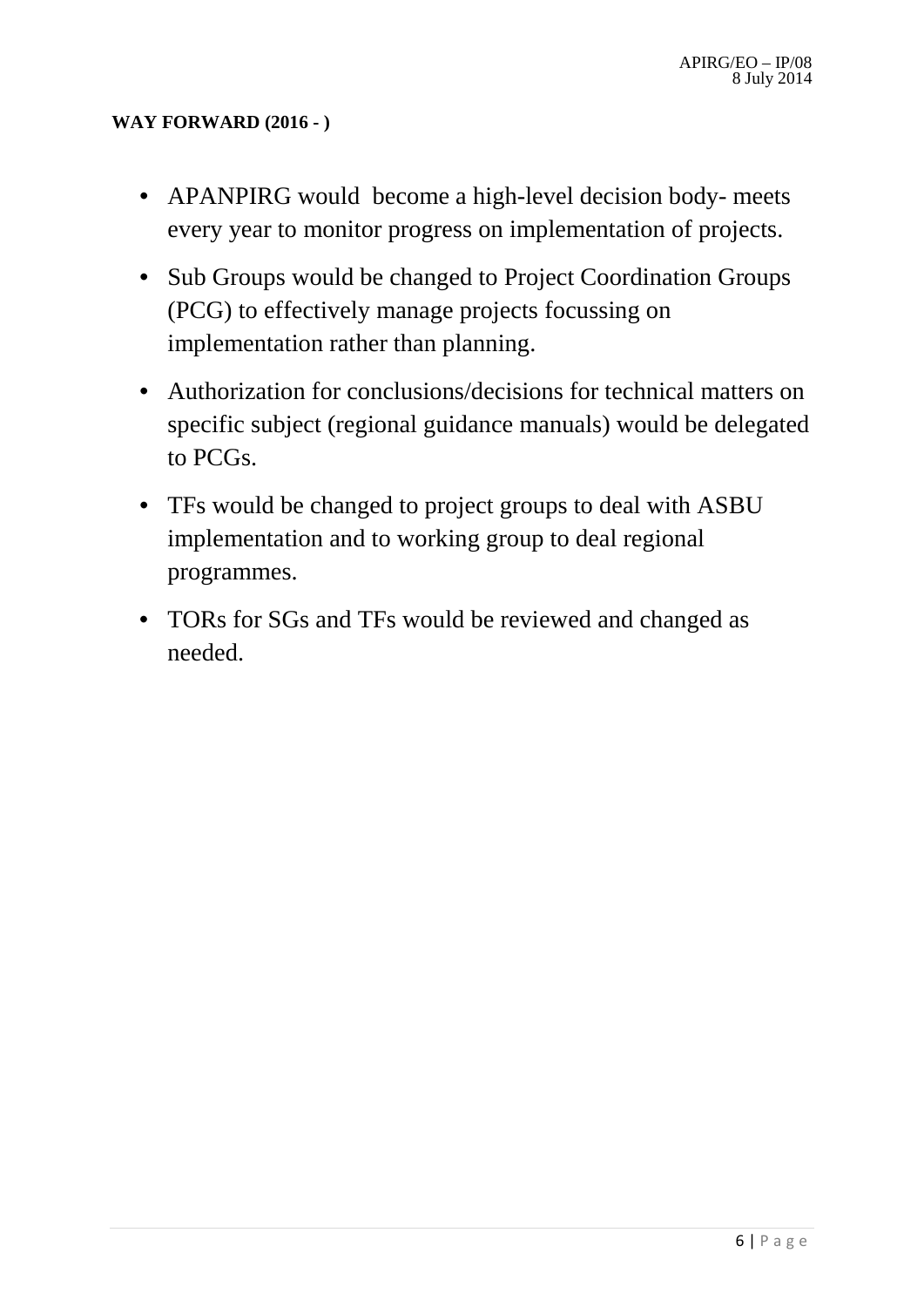## **WAY FORWARD (2016 - )**

- APANPIRG would become a high-level decision body-meets every year to monitor progress on implementation of projects.
- Sub Groups would be changed to Project Coordination Groups (PCG) to effectively manage projects focussing on implementation rather than planning.
- Authorization for conclusions/decisions for technical matters on specific subject (regional guidance manuals) would be delegated to PCGs.
- TFs would be changed to project groups to deal with ASBU implementation and to working group to deal regional programmes.
- TORs for SGs and TFs would be reviewed and changed as needed.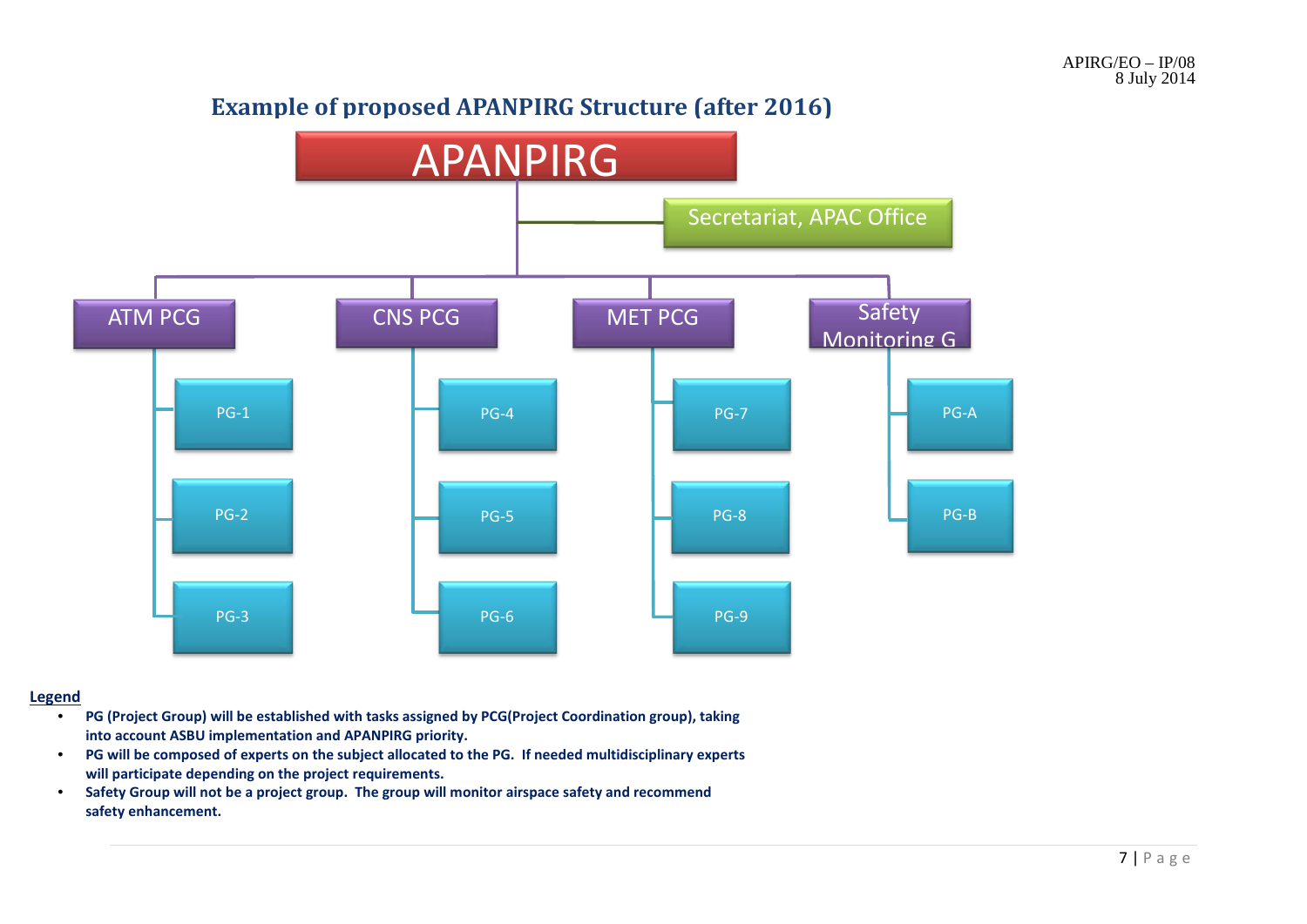## **Example of proposed APANPIRG Structure (after 2016)**



#### **Legend**

- **PG (Project Group) will be established with tasks assigned by PCG(Project Coordination group), taking into account ASBU implementation and APANPIRG priority.**
- **PG will be composed of experts on the subject allocated to the PG. If needed multidisciplinary experts will participate depending on the project requirements.**
- **Safety Group will not be a project group. The group will monitor airspace safety and recommend safety enhancement.**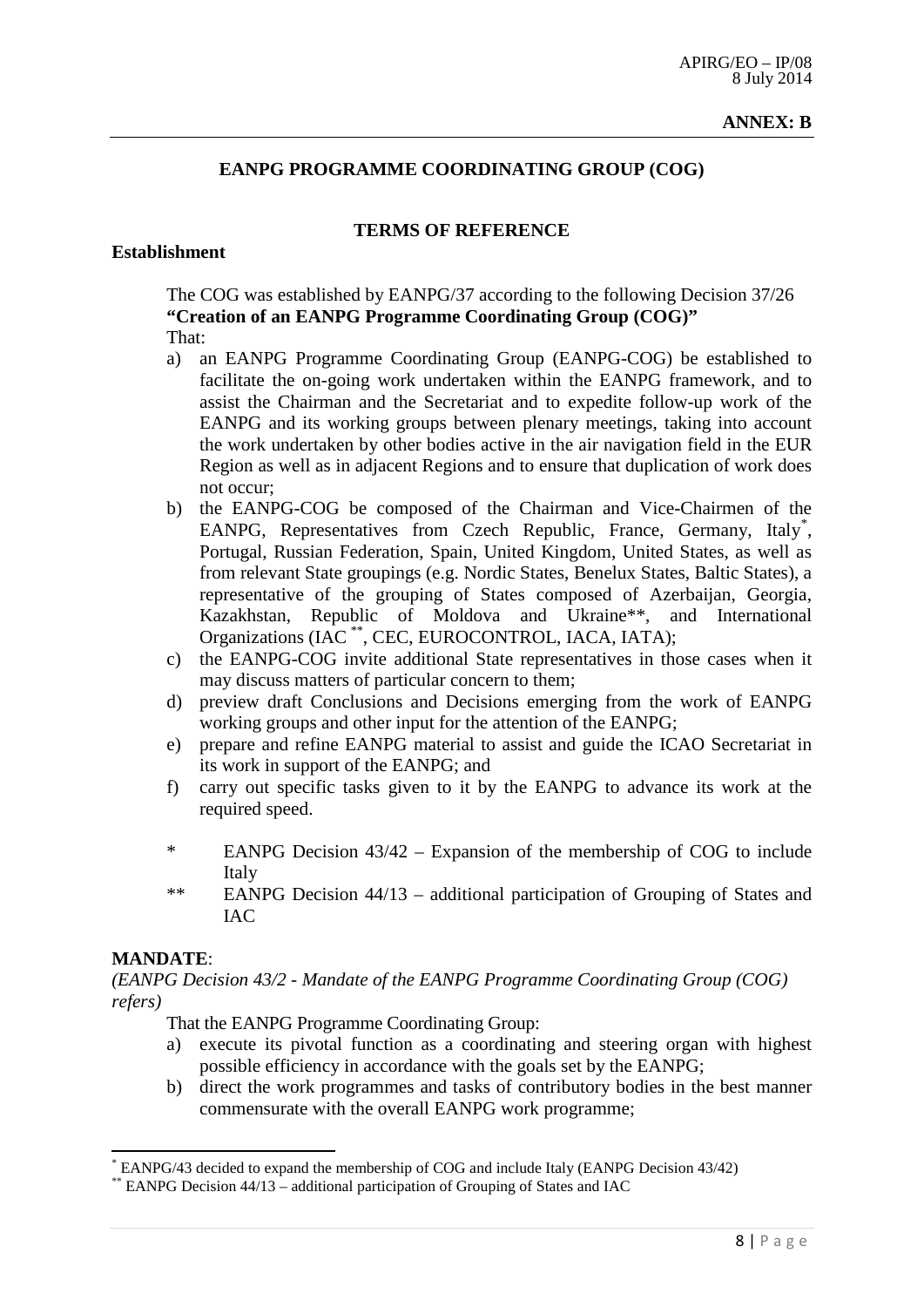#### **ANNEX: B**

#### **EANPG PROGRAMME COORDINATING GROUP (COG)**

#### **Establishment**

## **TERMS OF REFERENCE**

The COG was established by EANPG/37 according to the following Decision 37/26 **"Creation of an EANPG Programme Coordinating Group (COG)"**

- That:
- a) an EANPG Programme Coordinating Group (EANPG-COG) be established to facilitate the on-going work undertaken within the EANPG framework, and to assist the Chairman and the Secretariat and to expedite follow-up work of the EANPG and its working groups between plenary meetings, taking into account the work undertaken by other bodies active in the air navigation field in the EUR Region as well as in adjacent Regions and to ensure that duplication of work does not occur;
- b) the EANPG-COG be composed of the Chairman and Vice-Chairmen of the EANPG, Representatives from Czech Republic, France, Germany, Italy<sup>[\\*](#page-7-0)</sup>, Portugal, Russian Federation, Spain, United Kingdom, United States, as well as from relevant State groupings (e.g. Nordic States, Benelux States, Baltic States), a representative of the grouping of States composed of Azerbaijan, Georgia, Kazakhstan, Republic of Moldova and Ukraine\*\*, and International Organizations (IAC [\\*\\*](#page-7-1), CEC, EUROCONTROL, IACA, IATA);
- c) the EANPG-COG invite additional State representatives in those cases when it may discuss matters of particular concern to them;
- d) preview draft Conclusions and Decisions emerging from the work of EANPG working groups and other input for the attention of the EANPG;
- e) prepare and refine EANPG material to assist and guide the ICAO Secretariat in its work in support of the EANPG; and
- f) carry out specific tasks given to it by the EANPG to advance its work at the required speed.
- \* EANPG Decision 43/42 Expansion of the membership of COG to include Italy
- \*\* EANPG Decision 44/13 additional participation of Grouping of States and IAC

#### **MANDATE**:

*(EANPG Decision 43/2 - Mandate of the EANPG Programme Coordinating Group (COG) refers)*

That the EANPG Programme Coordinating Group:

- a) execute its pivotal function as a coordinating and steering organ with highest possible efficiency in accordance with the goals set by the EANPG;
- b) direct the work programmes and tasks of contributory bodies in the best manner commensurate with the overall EANPG work programme;

<span id="page-7-1"></span><span id="page-7-0"></span>EANPG/43 decided to expand the membership of COG and include Italy (EANPG Decision 43/42)

<sup>\*\*</sup> EANPG Decision 44/13 – additional participation of Grouping of States and IAC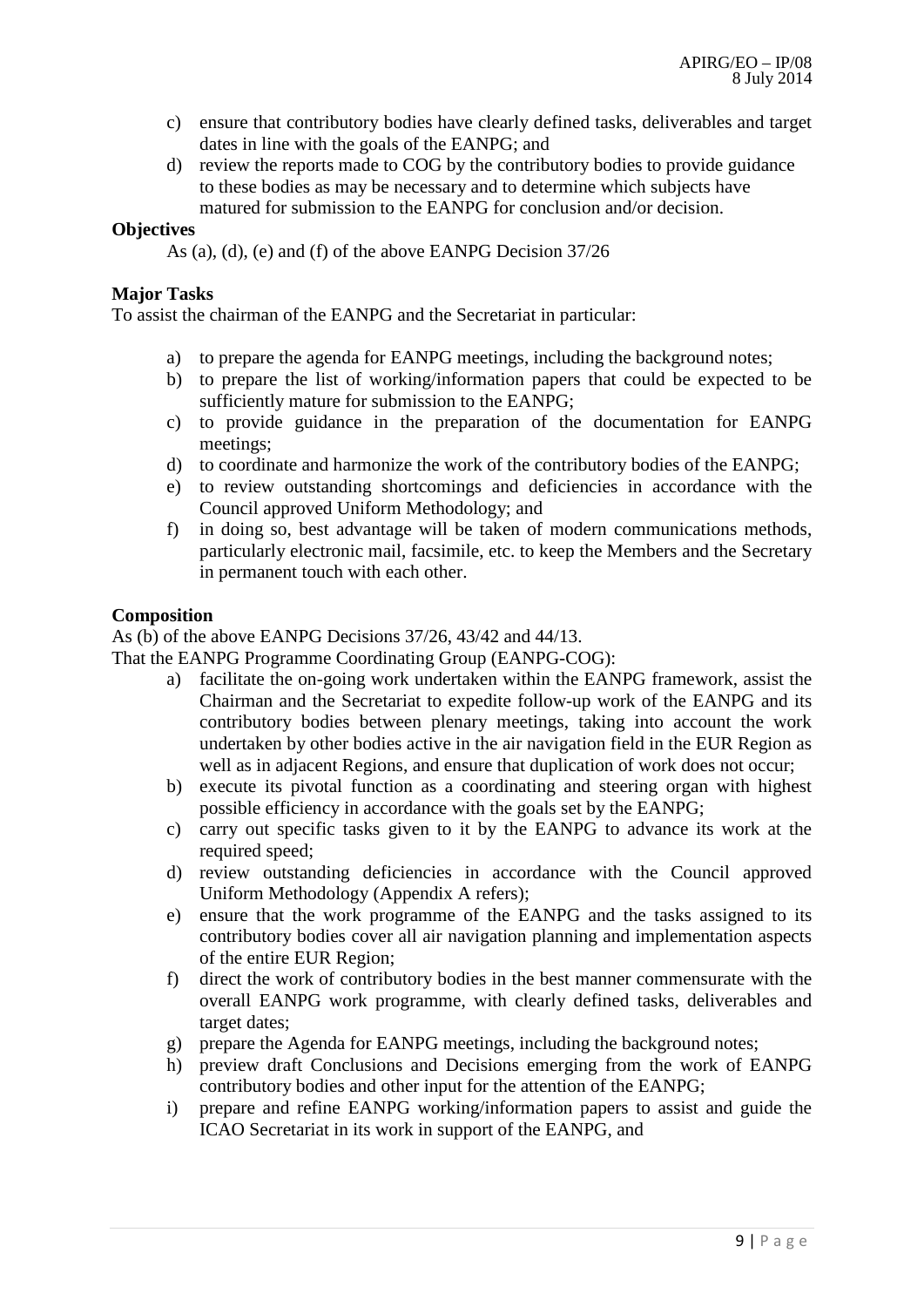- c) ensure that contributory bodies have clearly defined tasks, deliverables and target dates in line with the goals of the EANPG; and
- d) review the reports made to COG by the contributory bodies to provide guidance to these bodies as may be necessary and to determine which subjects have matured for submission to the EANPG for conclusion and/or decision.

#### **Objectives**

As (a), (d), (e) and (f) of the above EANPG Decision 37/26

#### **Major Tasks**

To assist the chairman of the EANPG and the Secretariat in particular:

- a) to prepare the agenda for EANPG meetings, including the background notes;
- b) to prepare the list of working/information papers that could be expected to be sufficiently mature for submission to the EANPG;
- c) to provide guidance in the preparation of the documentation for EANPG meetings;
- d) to coordinate and harmonize the work of the contributory bodies of the EANPG;
- e) to review outstanding shortcomings and deficiencies in accordance with the Council approved Uniform Methodology; and
- f) in doing so, best advantage will be taken of modern communications methods, particularly electronic mail, facsimile, etc. to keep the Members and the Secretary in permanent touch with each other.

#### **Composition**

As (b) of the above EANPG Decisions 37/26, 43/42 and 44/13.

That the EANPG Programme Coordinating Group (EANPG-COG):

- a) facilitate the on-going work undertaken within the EANPG framework, assist the Chairman and the Secretariat to expedite follow-up work of the EANPG and its contributory bodies between plenary meetings, taking into account the work undertaken by other bodies active in the air navigation field in the EUR Region as well as in adjacent Regions, and ensure that duplication of work does not occur;
- b) execute its pivotal function as a coordinating and steering organ with highest possible efficiency in accordance with the goals set by the EANPG;
- c) carry out specific tasks given to it by the EANPG to advance its work at the required speed:
- d) review outstanding deficiencies in accordance with the Council approved Uniform Methodology (Appendix A refers);
- e) ensure that the work programme of the EANPG and the tasks assigned to its contributory bodies cover all air navigation planning and implementation aspects of the entire EUR Region;
- f) direct the work of contributory bodies in the best manner commensurate with the overall EANPG work programme, with clearly defined tasks, deliverables and target dates;
- g) prepare the Agenda for EANPG meetings, including the background notes;
- h) preview draft Conclusions and Decisions emerging from the work of EANPG contributory bodies and other input for the attention of the EANPG;
- i) prepare and refine EANPG working/information papers to assist and guide the ICAO Secretariat in its work in support of the EANPG, and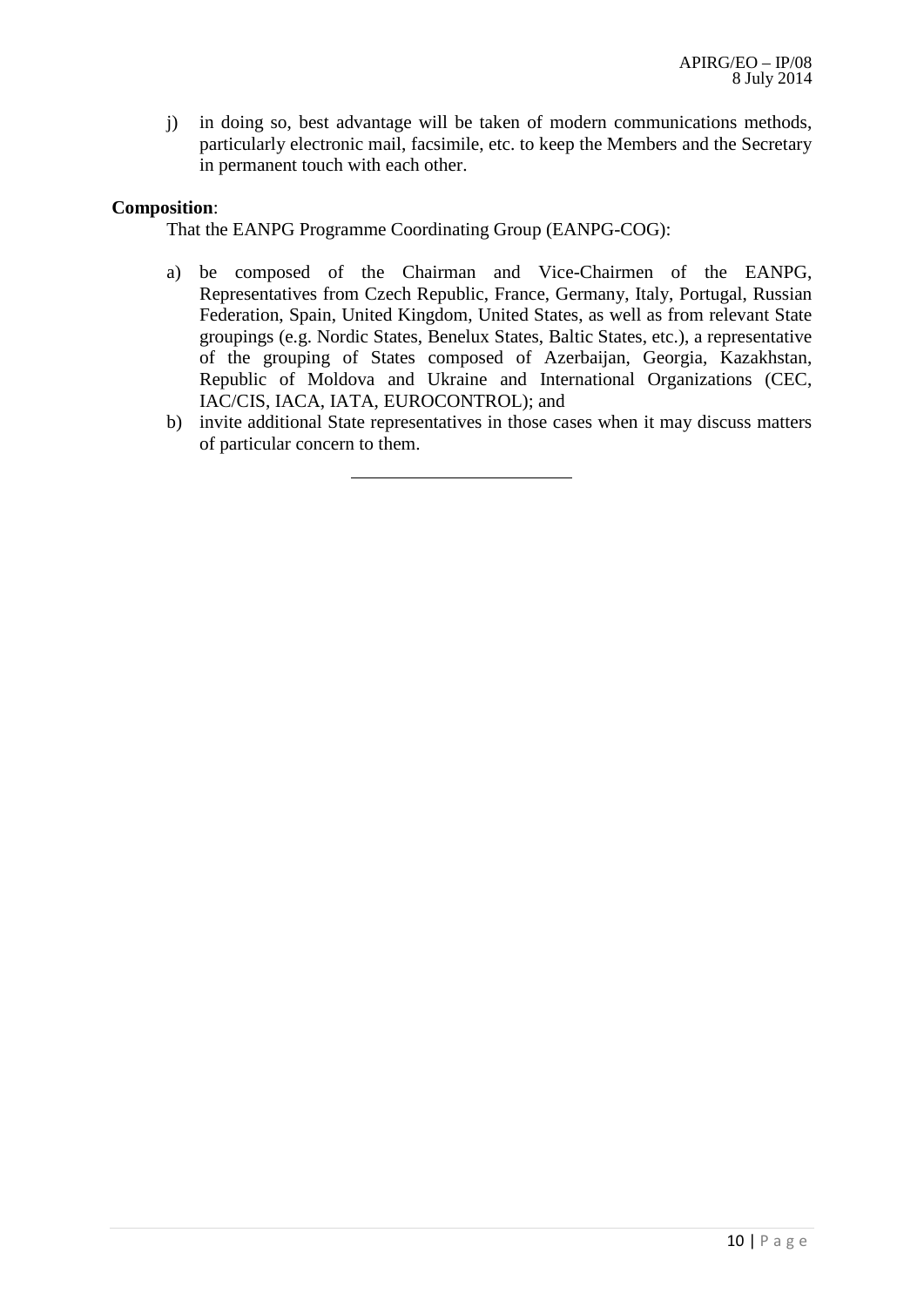j) in doing so, best advantage will be taken of modern communications methods, particularly electronic mail, facsimile, etc. to keep the Members and the Secretary in permanent touch with each other.

#### **Composition**:

That the EANPG Programme Coordinating Group (EANPG-COG):

- a) be composed of the Chairman and Vice-Chairmen of the EANPG, Representatives from Czech Republic, France, Germany, Italy, Portugal, Russian Federation, Spain, United Kingdom, United States, as well as from relevant State groupings (e.g. Nordic States, Benelux States, Baltic States, etc.), a representative of the grouping of States composed of Azerbaijan, Georgia, Kazakhstan, Republic of Moldova and Ukraine and International Organizations (CEC, IAC/CIS, IACA, IATA, EUROCONTROL); and
- b) invite additional State representatives in those cases when it may discuss matters of particular concern to them.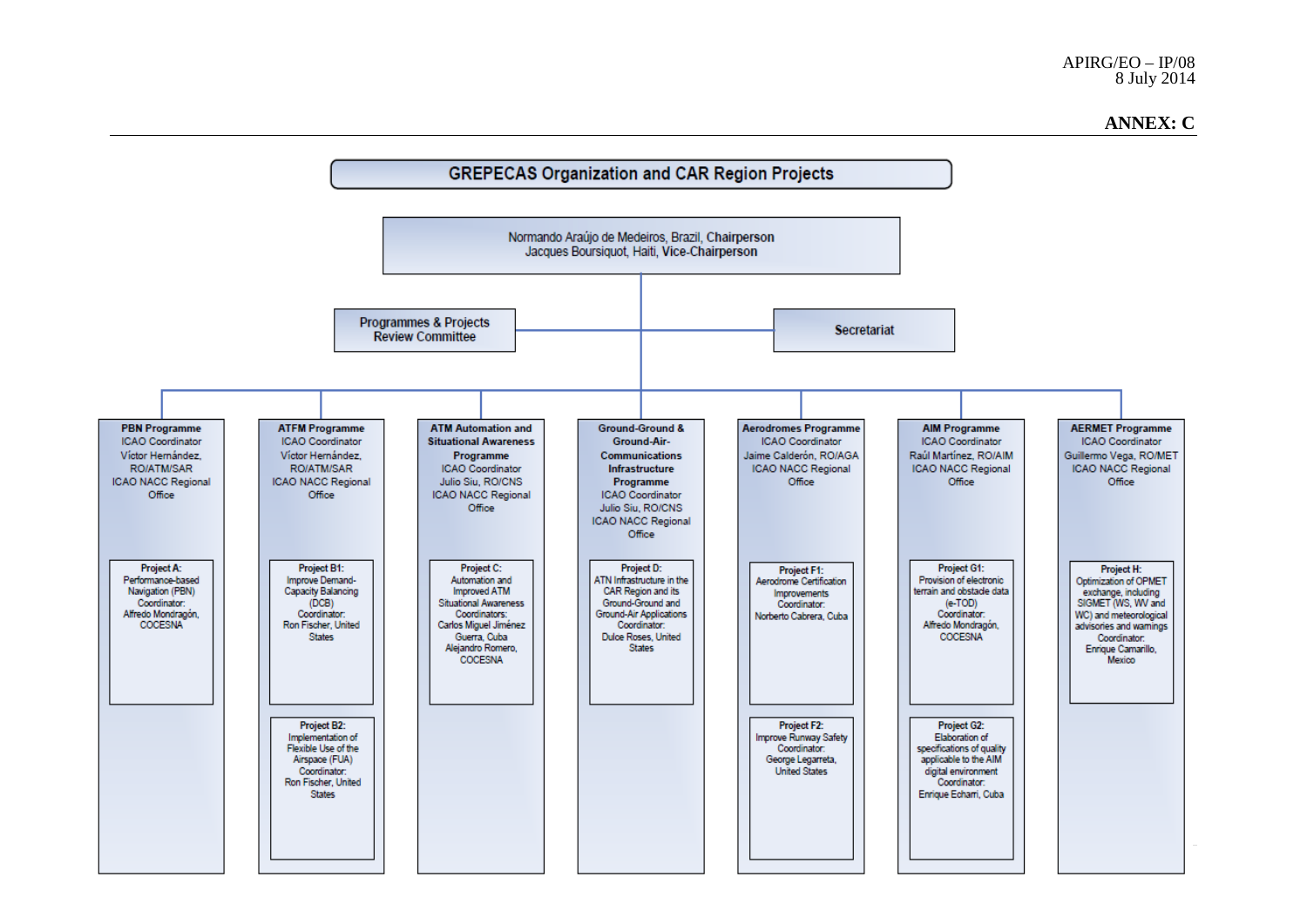#### **ANNEX: C**

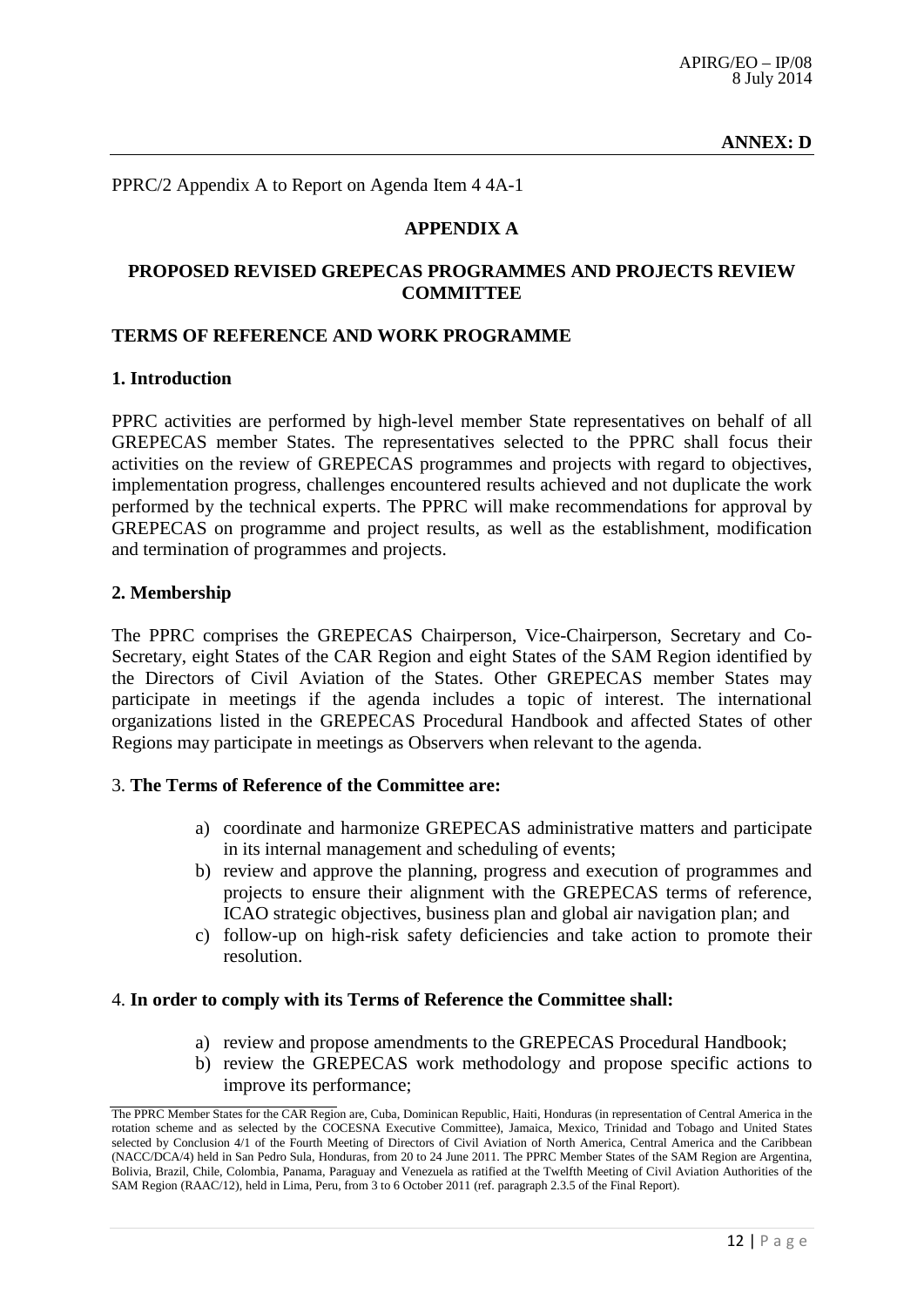#### **ANNEX: D**

PPRC/2 Appendix A to Report on Agenda Item 4 4A-1

#### **APPENDIX A**

#### **PROPOSED REVISED GREPECAS PROGRAMMES AND PROJECTS REVIEW COMMITTEE**

#### **TERMS OF REFERENCE AND WORK PROGRAMME**

#### **1. Introduction**

PPRC activities are performed by high-level member State representatives on behalf of all GREPECAS member States. The representatives selected to the PPRC shall focus their activities on the review of GREPECAS programmes and projects with regard to objectives, implementation progress, challenges encountered results achieved and not duplicate the work performed by the technical experts. The PPRC will make recommendations for approval by GREPECAS on programme and project results, as well as the establishment, modification and termination of programmes and projects.

#### **2. Membership**

The PPRC comprises the GREPECAS Chairperson, Vice-Chairperson, Secretary and Co-Secretary, eight States of the CAR Region and eight States of the SAM Region identified by the Directors of Civil Aviation of the States. Other GREPECAS member States may participate in meetings if the agenda includes a topic of interest. The international organizations listed in the GREPECAS Procedural Handbook and affected States of other Regions may participate in meetings as Observers when relevant to the agenda.

#### 3. **The Terms of Reference of the Committee are:**

- a) coordinate and harmonize GREPECAS administrative matters and participate in its internal management and scheduling of events;
- b) review and approve the planning, progress and execution of programmes and projects to ensure their alignment with the GREPECAS terms of reference, ICAO strategic objectives, business plan and global air navigation plan; and
- c) follow-up on high-risk safety deficiencies and take action to promote their resolution.

#### 4. **In order to comply with its Terms of Reference the Committee shall:**

- a) review and propose amendments to the GREPECAS Procedural Handbook;
- b) review the GREPECAS work methodology and propose specific actions to improve its performance;

The PPRC Member States for the CAR Region are, Cuba, Dominican Republic, Haiti, Honduras (in representation of Central America in the rotation scheme and as selected by the COCESNA Executive Committee), Jamaica, Mexico, Trinidad and Tobago and United States selected by Conclusion 4/1 of the Fourth Meeting of Directors of Civil Aviation of North America, Central America and the Caribbean (NACC/DCA/4) held in San Pedro Sula, Honduras, from 20 to 24 June 2011. The PPRC Member States of the SAM Region are Argentina, Bolivia, Brazil, Chile, Colombia, Panama, Paraguay and Venezuela as ratified at the Twelfth Meeting of Civil Aviation Authorities of the SAM Region (RAAC/12), held in Lima, Peru, from 3 to 6 October 2011 (ref. paragraph 2.3.5 of the Final Report).